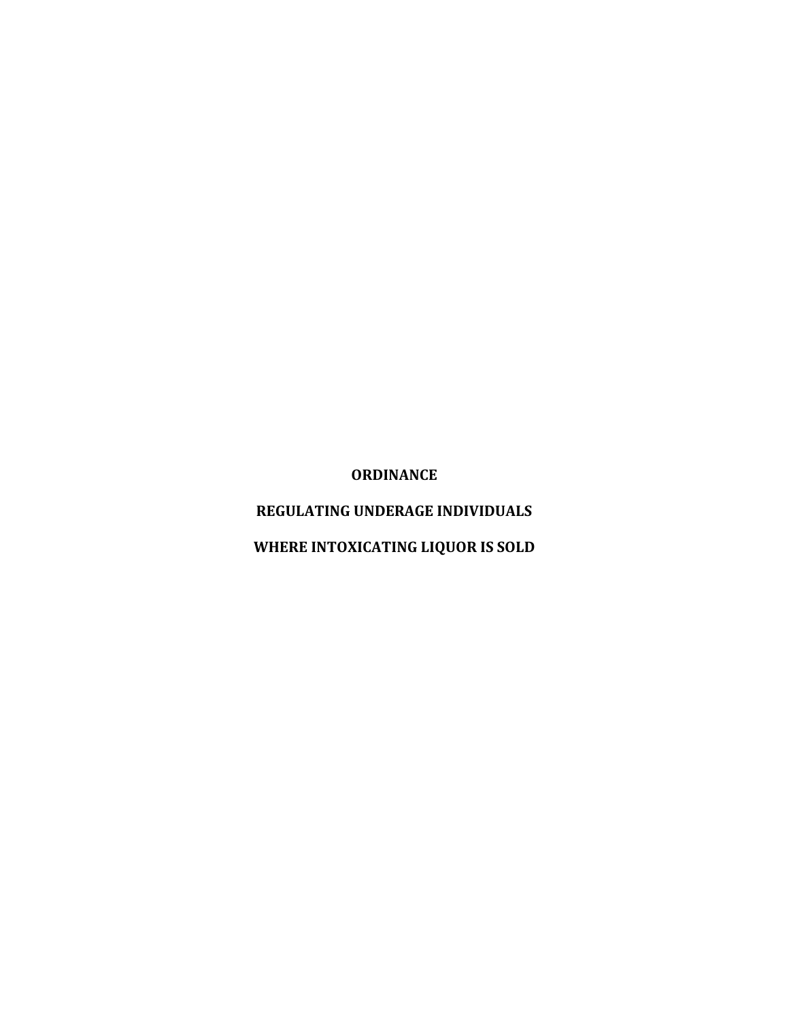**ORDINANCE**

**REGULATING UNDERAGE INDIVIDUALS**

**WHERE INTOXICATING LIQUOR IS SOLD**